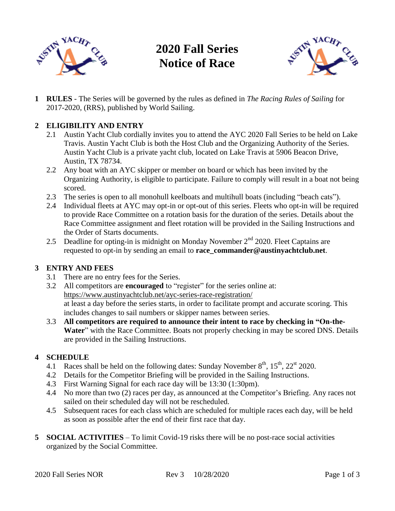

# **2020 Fall Series Notice of Race**



**1 RULES** - The Series will be governed by the rules as defined in *The Racing Rules of Sailing* for 2017-2020, (RRS), published by World Sailing.

# **2 ELIGIBILITY AND ENTRY**

- 2.1 Austin Yacht Club cordially invites you to attend the AYC 2020 Fall Series to be held on Lake Travis. Austin Yacht Club is both the Host Club and the Organizing Authority of the Series. Austin Yacht Club is a private yacht club, located on Lake Travis at 5906 Beacon Drive, Austin, TX 78734.
- 2.2 Any boat with an AYC skipper or member on board or which has been invited by the Organizing Authority, is eligible to participate. Failure to comply will result in a boat not being scored.
- 2.3 The series is open to all monohull keelboats and multihull boats (including "beach cats").
- 2.4 Individual fleets at AYC may opt-in or opt-out of this series. Fleets who opt-in will be required to provide Race Committee on a rotation basis for the duration of the series. Details about the Race Committee assignment and fleet rotation will be provided in the Sailing Instructions and the Order of Starts documents.
- 2.5 Deadline for opting-in is midnight on Monday November  $2<sup>nd</sup>$  2020. Fleet Captains are requested to opt-in by sending an email to **race\_commander@austinyachtclub.net**.

### **3 ENTRY AND FEES**

- 3.1 There are no entry fees for the Series.
- 3.2 All competitors are **encouraged** to "register" for the series online at: <https://www.austinyachtclub.net/ayc-series-race-registration/> at least a day before the series starts, in order to facilitate prompt and accurate scoring. This includes changes to sail numbers or skipper names between series.
- 3.3 **All competitors are required to announce their intent to race by checking in "On-the-Water**" with the Race Committee. Boats not properly checking in may be scored DNS. Details are provided in the Sailing Instructions.

### **4 SCHEDULE**

- 4.1 Races shall be held on the following dates: Sunday November  $8<sup>th</sup>$ ,  $15<sup>th</sup>$ ,  $22<sup>st</sup>$  2020.
- 4.2 Details for the Competitor Briefing will be provided in the Sailing Instructions.
- 4.3 First Warning Signal for each race day will be 13:30 (1:30pm).
- 4.4 No more than two (2) races per day, as announced at the Competitor's Briefing. Any races not sailed on their scheduled day will not be rescheduled.
- 4.5 Subsequent races for each class which are scheduled for multiple races each day, will be held as soon as possible after the end of their first race that day.
- **5 SOCIAL ACTIVITIES** To limit Covid-19 risks there will be no post-race social activities organized by the Social Committee.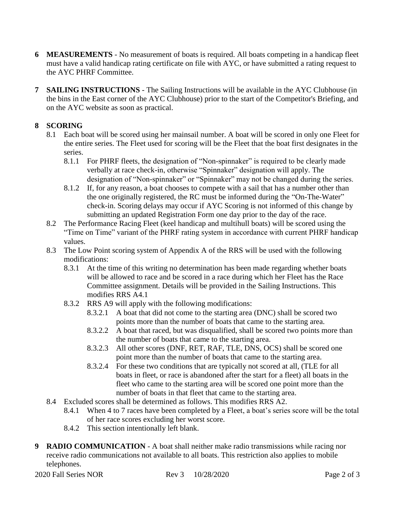- **6 MEASUREMENTS** No measurement of boats is required. All boats competing in a handicap fleet must have a valid handicap rating certificate on file with AYC, or have submitted a rating request to the AYC PHRF Committee.
- **7 SAILING INSTRUCTIONS** The Sailing Instructions will be available in the AYC Clubhouse (in the bins in the East corner of the AYC Clubhouse) prior to the start of the Competitor's Briefing, and on the AYC website as soon as practical.

# **8 SCORING**

- 8.1 Each boat will be scored using her mainsail number. A boat will be scored in only one Fleet for the entire series. The Fleet used for scoring will be the Fleet that the boat first designates in the series.
	- 8.1.1 For PHRF fleets, the designation of "Non-spinnaker" is required to be clearly made verbally at race check-in, otherwise "Spinnaker" designation will apply. The designation of "Non-spinnaker" or "Spinnaker" may not be changed during the series.
	- 8.1.2 If, for any reason, a boat chooses to compete with a sail that has a number other than the one originally registered, the RC must be informed during the "On-The-Water" check-in. Scoring delays may occur if AYC Scoring is not informed of this change by submitting an updated Registration Form one day prior to the day of the race.
- 8.2 The Performance Racing Fleet (keel handicap and multihull boats) will be scored using the "Time on Time" variant of the PHRF rating system in accordance with current PHRF handicap values.
- 8.3 The Low Point scoring system of Appendix A of the RRS will be used with the following modifications:
	- 8.3.1 At the time of this writing no determination has been made regarding whether boats will be allowed to race and be scored in a race during which her Fleet has the Race Committee assignment. Details will be provided in the Sailing Instructions. This modifies RRS A4.1
	- 8.3.2 RRS A9 will apply with the following modifications:
		- 8.3.2.1 A boat that did not come to the starting area (DNC) shall be scored two points more than the number of boats that came to the starting area.
		- 8.3.2.2 A boat that raced, but was disqualified, shall be scored two points more than the number of boats that came to the starting area.
		- 8.3.2.3 All other scores (DNF, RET, RAF, TLE, DNS, OCS) shall be scored one point more than the number of boats that came to the starting area.
		- 8.3.2.4 For these two conditions that are typically not scored at all, (TLE for all boats in fleet, or race is abandoned after the start for a fleet) all boats in the fleet who came to the starting area will be scored one point more than the number of boats in that fleet that came to the starting area.
- 8.4 Excluded scores shall be determined as follows. This modifies RRS A2.
	- 8.4.1 When 4 to 7 races have been completed by a Fleet, a boat's series score will be the total of her race scores excluding her worst score.
	- 8.4.2 This section intentionally left blank.
- **9 RADIO COMMUNICATION** A boat shall neither make radio transmissions while racing nor receive radio communications not available to all boats. This restriction also applies to mobile telephones.

2020 Fall Series NOR Rev 3 10/28/2020 Page 2 of 3